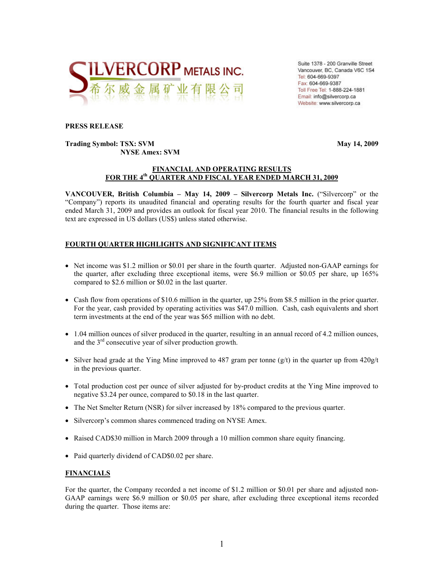

Suite 1378 - 200 Granville Street Vancouver, BC, Canada V6C 1S4 Tel: 604-669-9397 Fax: 604-669-9387 Toll Free Tel: 1-888-224-1881 Email: info@silvercorp.ca Website: www.silvercorp.ca

#### **PRESS RELEASE**

### **Trading Symbol: TSX: SVM May 14, 2009 NYSE Amex: SVM**

#### **FINANCIAL AND OPERATING RESULTS FOR THE 4th QUARTER AND FISCAL YEAR ENDED MARCH 31, 2009**

**VANCOUVER, British Columbia – May 14, 2009 – Silvercorp Metals Inc.** ("Silvercorp" or the "Company") reports its unaudited financial and operating results for the fourth quarter and fiscal year ended March 31, 2009 and provides an outlook for fiscal year 2010. The financial results in the following text are expressed in US dollars (US\$) unless stated otherwise.

# **FOURTH QUARTER HIGHLIGHTS AND SIGNIFICANT ITEMS**

- Net income was \$1.2 million or \$0.01 per share in the fourth quarter. Adjusted non-GAAP earnings for the quarter, after excluding three exceptional items, were \$6.9 million or \$0.05 per share, up 165% compared to \$2.6 million or \$0.02 in the last quarter.
- Cash flow from operations of \$10.6 million in the quarter, up 25% from \$8.5 million in the prior quarter. For the year, cash provided by operating activities was \$47.0 million. Cash, cash equivalents and short term investments at the end of the year was \$65 million with no debt.
- 1.04 million ounces of silver produced in the quarter, resulting in an annual record of 4.2 million ounces, and the  $3<sup>rd</sup>$  consecutive year of silver production growth.
- Silver head grade at the Ying Mine improved to 487 gram per tonne  $(g/t)$  in the quarter up from  $420g/t$ in the previous quarter.
- Total production cost per ounce of silver adjusted for by-product credits at the Ying Mine improved to negative \$3.24 per ounce, compared to \$0.18 in the last quarter.
- The Net Smelter Return (NSR) for silver increased by 18% compared to the previous quarter.
- Silvercorp's common shares commenced trading on NYSE Amex.
- Raised CAD\$30 million in March 2009 through a 10 million common share equity financing.
- Paid quarterly dividend of CAD\$0.02 per share.

## **FINANCIALS**

For the quarter, the Company recorded a net income of \$1.2 million or \$0.01 per share and adjusted non-GAAP earnings were \$6.9 million or \$0.05 per share, after excluding three exceptional items recorded during the quarter. Those items are: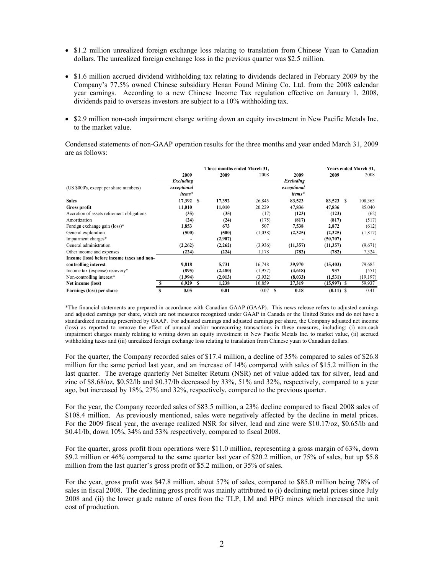- \$1.2 million unrealized foreign exchange loss relating to translation from Chinese Yuan to Canadian dollars. The unrealized foreign exchange loss in the previous quarter was \$2.5 million.
- \$1.6 million accrued dividend withholding tax relating to dividends declared in February 2009 by the Company's 77.5% owned Chinese subsidiary Henan Found Mining Co. Ltd. from the 2008 calendar year earnings. According to a new Chinese Income Tax regulation effective on January 1, 2008, dividends paid to overseas investors are subject to a 10% withholding tax.
- \$2.9 million non-cash impairment charge writing down an equity investment in New Pacific Metals Inc. to the market value.

Condensed statements of non-GAAP operation results for the three months and year ended March 31, 2009 are as follows:

|                                            | Three months ended March 31, |             |   |          |         | Years ended March 31, |             |             |   |           |
|--------------------------------------------|------------------------------|-------------|---|----------|---------|-----------------------|-------------|-------------|---|-----------|
|                                            |                              | 2009        |   | 2009     | 2008    |                       | 2009        | 2009        |   | 2008      |
|                                            |                              | Excluding   |   |          |         |                       | Excluding   |             |   |           |
| (US \$000's, except per share numbers)     |                              | exceptional |   |          |         |                       | exceptional |             |   |           |
|                                            |                              | items*      |   |          |         |                       | items*      |             |   |           |
| <b>Sales</b>                               |                              | 17,392 \$   |   | 17,392   | 26,845  |                       | 83,523      | 83,523      | S | 108,363   |
| <b>Gross profit</b>                        |                              | 11,010      |   | 11,010   | 20,229  |                       | 47,836      | 47,836      |   | 85,040    |
| Accretion of assets retirement obligations |                              | (35)        |   | (35)     | (17)    |                       | (123)       | (123)       |   | (62)      |
| Amortization                               |                              | (24)        |   | (24)     | (175)   |                       | (817)       | (817)       |   | (517)     |
| Foreign exchange gain (loss)*              |                              | 1,853       |   | 673      | 507     |                       | 7,538       | 2,872       |   | (612)     |
| General exploration                        |                              | (500)       |   | (500)    | (1,038) |                       | (2,325)     | (2,325)     |   | (1, 817)  |
| Impairment charges*                        |                              |             |   | (2,907)  |         |                       |             | (50, 707)   |   |           |
| General administration                     |                              | (2, 262)    |   | (2, 262) | (3.936) |                       | (11, 357)   | (11, 357)   |   | (9,671)   |
| Other income and expenses                  |                              | (224)       |   | (224)    | 1,178   |                       | (782)       | (782)       |   | 7,324     |
| Income (loss) before income taxes and non- |                              |             |   |          |         |                       |             |             |   |           |
| controlling interest                       |                              | 9,818       |   | 5,731    | 16,748  |                       | 39,970      | (15, 403)   |   | 79,685    |
| Income tax (expense) recovery*             |                              | (895)       |   | (2,480)  | (1,957) |                       | (4,618)     | 937         |   | (551)     |
| Non-controlling interest*                  |                              | (1,994)     |   | (2,013)  | (3,932) |                       | (8,033)     | (1, 531)    |   | (19, 197) |
| Net income (loss)                          |                              | 6,929       | S | 1,238    | 10,859  |                       | 27,319      | (15,997)    | S | 59,937    |
| Earnings (loss) per share                  | S                            | 0.05        |   | 0.01     | 0.07    | S                     | 0.18        | $(0.11)$ \$ |   | 0.41      |

\*The financial statements are prepared in accordance with Canadian GAAP (GAAP). This news release refers to adjusted earnings and adjusted earnings per share, which are not measures recognized under GAAP in Canada or the United States and do not have a standardized meaning prescribed by GAAP. For adjusted earnings and adjusted earnings per share, the Company adjusted net income (loss) as reported to remove the effect of unusual and/or nonrecurring transactions in these measures, including: (i) non-cash impairment charges mainly relating to writing down an equity investment in New Pacific Metals Inc. to market value, (ii) accrued withholding taxes and (iii) unrealized foreign exchange loss relating to translation from Chinese yuan to Canadian dollars.

For the quarter, the Company recorded sales of \$17.4 million, a decline of 35% compared to sales of \$26.8 million for the same period last year, and an increase of 14% compared with sales of \$15.2 million in the last quarter. The average quarterly Net Smelter Return (NSR) net of value added tax for silver, lead and zinc of \$8.68/oz, \$0.52/lb and \$0.37/lb decreased by 33%, 51% and 32%, respectively, compared to a year ago, but increased by 18%, 27% and 32%, respectively, compared to the previous quarter.

For the year, the Company recorded sales of \$83.5 million, a 23% decline compared to fiscal 2008 sales of \$108.4 million. As previously mentioned, sales were negatively affected by the decline in metal prices. For the 2009 fiscal year, the average realized NSR for silver, lead and zinc were \$10.17/oz, \$0.65/lb and \$0.41/lb, down 10%, 34% and 53% respectively, compared to fiscal 2008.

For the quarter, gross profit from operations were \$11.0 million, representing a gross margin of 63%, down \$9.2 million or 46% compared to the same quarter last year of \$20.2 million, or 75% of sales, but up \$5.8 million from the last quarter's gross profit of \$5.2 million, or 35% of sales.

For the year, gross profit was \$47.8 million, about 57% of sales, compared to \$85.0 million being 78% of sales in fiscal 2008. The declining gross profit was mainly attributed to (i) declining metal prices since July 2008 and (ii) the lower grade nature of ores from the TLP, LM and HPG mines which increased the unit cost of production.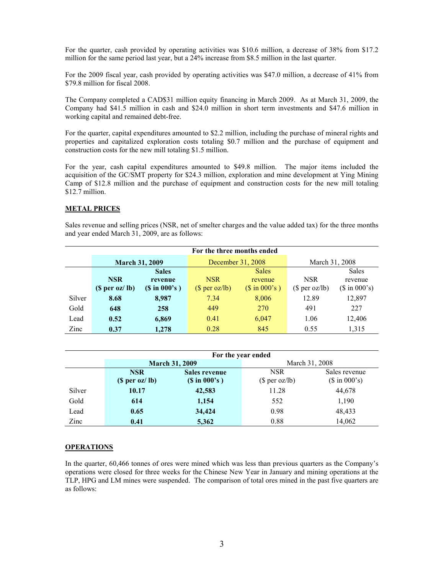For the quarter, cash provided by operating activities was \$10.6 million, a decrease of 38% from \$17.2 million for the same period last year, but a 24% increase from \$8.5 million in the last quarter.

For the 2009 fiscal year, cash provided by operating activities was \$47.0 million, a decrease of 41% from \$79.8 million for fiscal 2008.

The Company completed a CAD\$31 million equity financing in March 2009. As at March 31, 2009, the Company had \$41.5 million in cash and \$24.0 million in short term investments and \$47.6 million in working capital and remained debt-free.

For the quarter, capital expenditures amounted to \$2.2 million, including the purchase of mineral rights and properties and capitalized exploration costs totaling \$0.7 million and the purchase of equipment and construction costs for the new mill totaling \$1.5 million.

For the year, cash capital expenditures amounted to \$49.8 million. The major items included the acquisition of the GC/SMT property for \$24.3 million, exploration and mine development at Ying Mining Camp of \$12.8 million and the purchase of equipment and construction costs for the new mill totaling \$12.7 million.

#### **METAL PRICES**

Sales revenue and selling prices (NSR, net of smelter charges and the value added tax) for the three months and year ended March 31, 2009, are as follows:

|        | For the three months ended |                    |                   |                          |                |                         |  |  |  |
|--------|----------------------------|--------------------|-------------------|--------------------------|----------------|-------------------------|--|--|--|
|        | <b>March 31, 2009</b>      |                    | December 31, 2008 |                          | March 31, 2008 |                         |  |  |  |
|        |                            | <b>Sales</b>       |                   | <b>Sales</b>             |                | <b>Sales</b>            |  |  |  |
|        | <b>NSR</b>                 | revenue            | <b>NSR</b>        | revenue                  | <b>NSR</b>     | revenue                 |  |  |  |
|        | (S per oz / lb)            | $(S \in \{00\}^s)$ | $$$ per oz/lb)    | $($ \text{ in } 000's )$ | (\$ per oz/lb) | $($ \text{ in } 000's)$ |  |  |  |
| Silver | 8.68                       | 8,987              | 7.34              | 8,006                    | 12.89          | 12,897                  |  |  |  |
| Gold   | 648                        | 258                | 449               | 270                      | 491            | 227                     |  |  |  |
| Lead   | 0.52                       | 6,869              | 0.41              | 6,047                    | 1.06           | 12,406                  |  |  |  |
| Zinc   | 0.37                       | 1,278              | 0.28              | 845                      | 0.55           | 1,315                   |  |  |  |

|        | For the year ended |                       |                |                         |  |  |  |  |  |
|--------|--------------------|-----------------------|----------------|-------------------------|--|--|--|--|--|
|        |                    | <b>March 31, 2009</b> | March 31, 2008 |                         |  |  |  |  |  |
|        | <b>NSR</b>         | <b>Sales revenue</b>  | <b>NSR</b>     | Sales revenue           |  |  |  |  |  |
|        | (S per oz / lb)    | $(S \in \{00\}^s)$    | (\$ per oz/lb) | $($ \text{ in } 000's)$ |  |  |  |  |  |
| Silver | 10.17              | 42,583                | 11.28          | 44,678                  |  |  |  |  |  |
| Gold   | 614                | 1,154                 | 552            | 1,190                   |  |  |  |  |  |
| Lead   | 0.65               | 34,424                | 0.98           | 48,433                  |  |  |  |  |  |
| Zinc   | 0.41               | 5,362                 | 0.88           | 14,062                  |  |  |  |  |  |

## **OPERATIONS**

In the quarter, 60,466 tonnes of ores were mined which was less than previous quarters as the Company's operations were closed for three weeks for the Chinese New Year in January and mining operations at the TLP, HPG and LM mines were suspended. The comparison of total ores mined in the past five quarters are as follows: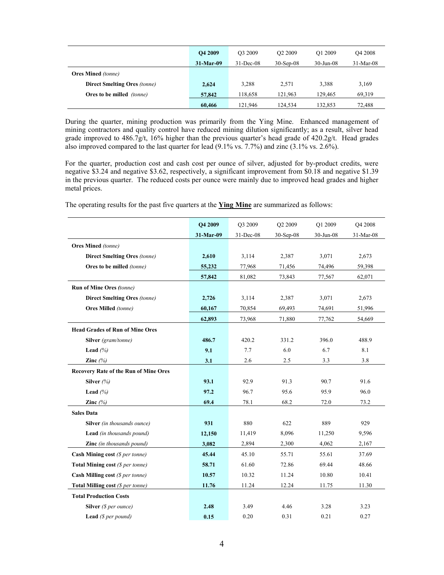|                                     | O <sub>4</sub> 2009 | O <sub>3</sub> 2009 | O <sub>2</sub> 2009 | O1 2009      | O <sub>4</sub> 2008 |
|-------------------------------------|---------------------|---------------------|---------------------|--------------|---------------------|
|                                     | $31-Mar-09$         | $31 - Dec-08$       | $30-Sep-08$         | $30$ -Jun-08 | $31-Mar-08$         |
| <b>Ores Mined</b> (tonne)           |                     |                     |                     |              |                     |
| <b>Direct Smelting Ores (tonne)</b> | 2,624               | 3,288               | 2.571               | 3,388        | 3,169               |
| Ores to be milled <i>(tonne)</i>    | 57,842              | 118.658             | 121.963             | 129.465      | 69,319              |
|                                     | 60,466              | 121.946             | 124,534             | 132.853      | 72,488              |

During the quarter, mining production was primarily from the Ying Mine. Enhanced management of mining contractors and quality control have reduced mining dilution significantly; as a result, silver head grade improved to 486.7g/t, 16% higher than the previous quarter's head grade of 420.2g/t. Head grades also improved compared to the last quarter for lead  $(9.1\% \text{ vs. } 7.7\%)$  and zinc  $(3.1\% \text{ vs. } 2.6\%)$ .

For the quarter, production cost and cash cost per ounce of silver, adjusted for by-product credits, were negative \$3.24 and negative \$3.62, respectively, a significant improvement from \$0.18 and negative \$1.39 in the previous quarter. The reduced costs per ounce were mainly due to improved head grades and higher metal prices.

The operating results for the past five quarters at the **Ying Mine** are summarized as follows:

|                                              | <b>O4 2009</b> | O3 2009   | O2 2009   | O1 2009   | O4 2008   |
|----------------------------------------------|----------------|-----------|-----------|-----------|-----------|
|                                              | 31-Mar-09      | 31-Dec-08 | 30-Sep-08 | 30-Jun-08 | 31-Mar-08 |
| <b>Ores Mined</b> (tonne)                    |                |           |           |           |           |
| <b>Direct Smelting Ores (tonne)</b>          | 2,610          | 3,114     | 2,387     | 3,071     | 2,673     |
| Ores to be milled (tonne)                    | 55,232         | 77,968    | 71,456    | 74,496    | 59,398    |
|                                              | 57,842         | 81,082    | 73,843    | 77,567    | 62,071    |
| <b>Run of Mine Ores (tonne)</b>              |                |           |           |           |           |
| <b>Direct Smelting Ores (tonne)</b>          | 2,726          | 3,114     | 2,387     | 3,071     | 2,673     |
| <b>Ores Milled</b> (tonne)                   | 60,167         | 70,854    | 69,493    | 74,691    | 51,996    |
|                                              | 62,893         | 73,968    | 71,880    | 77,762    | 54,669    |
| <b>Head Grades of Run of Mine Ores</b>       |                |           |           |           |           |
| Silver (gram/tonne)                          | 486.7          | 420.2     | 331.2     | 396.0     | 488.9     |
| Lead $(%$                                    | 9.1            | 7.7       | 6.0       | 6.7       | 8.1       |
| Zinc $(%$                                    | 3.1            | 2.6       | 2.5       | 3.3       | 3.8       |
| <b>Recovery Rate of the Run of Mine Ores</b> |                |           |           |           |           |
| Silver $(%)$                                 | 93.1           | 92.9      | 91.3      | 90.7      | 91.6      |
| Lead $(%$                                    | 97.2           | 96.7      | 95.6      | 95.9      | 96.0      |
| Zinc $(%)$                                   | 69.4           | 78.1      | 68.2      | 72.0      | 73.2      |
| <b>Sales Data</b>                            |                |           |           |           |           |
| Silver (in thousands ounce)                  | 931            | 880       | 622       | 889       | 929       |
| Lead (in thousands pound)                    | 12,150         | 11,419    | 8,096     | 11,250    | 9,596     |
| <b>Zinc</b> (in thousands pound)             | 3,082          | 2,894     | 2,300     | 4,062     | 2,167     |
| Cash Mining cost $(S$ per tonne)             | 45.44          | 45.10     | 55.71     | 55.61     | 37.69     |
| Total Mining cost (\$ per tonne)             | 58.71          | 61.60     | 72.86     | 69.44     | 48.66     |
| Cash Milling cost $(S per tonne)$            | 10.57          | 10.32     | 11.24     | 10.80     | 10.41     |
| Total Milling cost (\$ per tonne)            | 11.76          | 11.24     | 12.24     | 11.75     | 11.30     |
| <b>Total Production Costs</b>                |                |           |           |           |           |
| Silver (\$ per ounce)                        | 2.48           | 3.49      | 4.46      | 3.28      | 3.23      |
| <b>Lead</b> ( $$per pound$ )                 | 0.15           | 0.20      | 0.31      | 0.21      | 0.27      |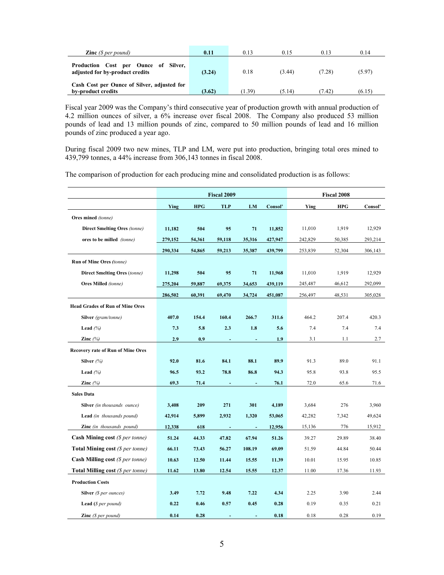| <b>Zinc</b> $(S$ per pound)                                                | 0.11   | 0.13   | 0.15   | 0.13   | 0.14   |
|----------------------------------------------------------------------------|--------|--------|--------|--------|--------|
| Cost per Ounce of Silver,<br>Production<br>adjusted for by-product credits | (3.24) | 0.18   | (3.44) | (7.28) | (5.97) |
| Cash Cost per Ounce of Silver, adjusted for<br>by-product credits          | (3.62) | (1.39) | (5.14) | (7.42) | (6.15) |

Fiscal year 2009 was the Company's third consecutive year of production growth with annual production of 4.2 million ounces of silver, a 6% increase over fiscal 2008. The Company also produced 53 million pounds of lead and 13 million pounds of zinc, compared to 50 million pounds of lead and 16 million pounds of zinc produced a year ago.

During fiscal 2009 two new mines, TLP and LM, were put into production, bringing total ores mined to 439,799 tonnes, a 44% increase from 306,143 tonnes in fiscal 2008.

The comparison of production for each producing mine and consolidated production is as follows:

|                                          |         |            | <b>Fiscal 2009</b> | <b>Fiscal 2008</b> |         |         |            |         |
|------------------------------------------|---------|------------|--------------------|--------------------|---------|---------|------------|---------|
|                                          | Ying    | <b>HPG</b> | <b>TLP</b>         | LM                 | Consol' | Ying    | <b>HPG</b> | Consol' |
| Ores mined (tonne)                       |         |            |                    |                    |         |         |            |         |
| Direct Smelting Ores (tonne)             | 11,182  | 504        | 95                 | 71                 | 11,852  | 11,010  | 1,919      | 12,929  |
| ores to be milled (tonne)                | 279,152 | 54,361     | 59,118             | 35,316             | 427,947 | 242,829 | 50,385     | 293,214 |
|                                          | 290,334 | 54,865     | 59,213             | 35,387             | 439,799 | 253,839 | 52,304     | 306,143 |
| Run of Mine Ores (tonne)                 |         |            |                    |                    |         |         |            |         |
| <b>Direct Smelting Ores</b> (tonne)      | 11,298  | 504        | 95                 | 71                 | 11,968  | 11,010  | 1,919      | 12,929  |
| <b>Ores Milled</b> (tonne)               | 275,204 | 59,887     | 69,375             | 34,653             | 439,119 | 245,487 | 46,612     | 292,099 |
|                                          | 286,502 | 60,391     | 69,470             | 34,724             | 451,087 | 256,497 | 48,531     | 305,028 |
| <b>Head Grades of Run of Mine Ores</b>   |         |            |                    |                    |         |         |            |         |
| Silver (gram/tonne)                      | 407.0   | 154.4      | 160.4              | 266.7              | 311.6   | 464.2   | 207.4      | 420.3   |
| Lead $(%$                                | 7.3     | 5.8        | 2.3                | 1.8                | 5.6     | 7.4     | 7.4        | 7.4     |
| Zinc $(\%)$                              | 2.9     | 0.9        |                    |                    | 1.9     | 3.1     | 1.1        | 2.7     |
| <b>Recovery rate of Run of Mine Ores</b> |         |            |                    |                    |         |         |            |         |
| Silver $(\%)$                            | 92.0    | 81.6       | 84.1               | 88.1               | 89.9    | 91.3    | 89.0       | 91.1    |
| Lead $(%$                                | 96.5    | 93.2       | 78.8               | 86.8               | 94.3    | 95.8    | 93.8       | 95.5    |
| Zinc $(%)$                               | 69.3    | 71.4       |                    |                    | 76.1    | 72.0    | 65.6       | 71.6    |
| <b>Sales Data</b>                        |         |            |                    |                    |         |         |            |         |
| Silver (in thousands ounce)              | 3,408   | 209        | 271                | 301                | 4,189   | 3,684   | 276        | 3,960   |
| Lead (in thousands pound)                | 42,914  | 5,899      | 2,932              | 1,320              | 53,065  | 42,282  | 7,342      | 49,624  |
| Zinc (in thousands pound)                | 12,338  | 618        | $\blacksquare$     | $\blacksquare$     | 12,956  | 15,136  | 776        | 15,912  |
| <b>Cash Mining cost</b> (\$ per tonne)   | 51.24   | 44.33      | 47.82              | 67.94              | 51.26   | 39.27   | 29.89      | 38.40   |
| <b>Total Mining cost</b> (\$ per tonne)  | 66.11   | 73.43      | 56.27              | 108.19             | 69.09   | 51.59   | 44.84      | 50.44   |
| <b>Cash Milling cost</b> (\$ per tonne)  | 10.63   | 12.50      | 11.44              | 15.55              | 11.39   | 10.01   | 15.95      | 10.85   |
| Total Milling cost (\$ per tonne)        | 11.62   | 13.80      | 12.54              | 15.55              | 12.37   | 11.00   | 17.36      | 11.93   |
| <b>Production Costs</b>                  |         |            |                    |                    |         |         |            |         |
| <b>Silver</b> ( $$ per ounces$ )         | 3.49    | 7.72       | 9.48               | 7.22               | 4.34    | 2.25    | 3.90       | 2.44    |
| <b>Lead</b> ( $$per pound$ )             | 0.22    | 0.46       | 0.57               | 0.45               | 0.28    | 0.19    | 0.35       | 0.21    |
| <b>Zinc</b> ( $\$$ per pound)            | 0.14    | 0.28       | ÷.                 | ÷                  | 0.18    | 0.18    | 0.28       | 0.19    |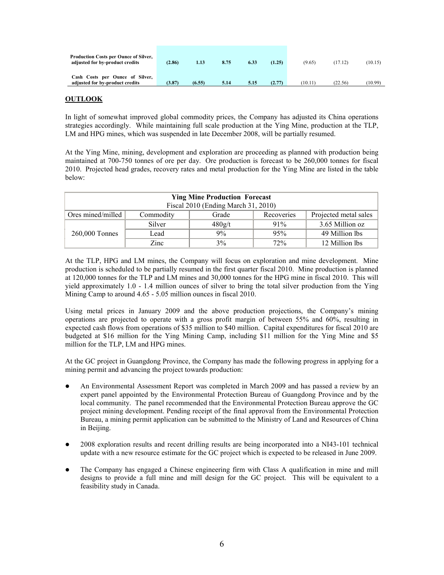| Production Costs per Ounce of Silver,<br>adjusted for by-product credits | (2.86) | 1.13   | 8.75 | 6.33 | (1.25) | (9.65)  | (17.12) | (10.15) |
|--------------------------------------------------------------------------|--------|--------|------|------|--------|---------|---------|---------|
| Cash Costs per Ounce of Silver,<br>adjusted for by-product credits       | (3.87) | (6.55) | 5.14 | 5.15 | (2.77) | (10.11) | (22.56) | (10.99) |

#### **OUTLOOK**

In light of somewhat improved global commodity prices, the Company has adjusted its China operations strategies accordingly. While maintaining full scale production at the Ying Mine, production at the TLP, LM and HPG mines, which was suspended in late December 2008, will be partially resumed.

At the Ying Mine, mining, development and exploration are proceeding as planned with production being maintained at 700-750 tonnes of ore per day. Ore production is forecast to be 260,000 tonnes for fiscal 2010. Projected head grades, recovery rates and metal production for the Ying Mine are listed in the table below:

| <b>Ying Mine Production Forecast</b><br>Fiscal 2010 (Ending March 31, 2010)    |        |        |     |                 |  |  |  |  |
|--------------------------------------------------------------------------------|--------|--------|-----|-----------------|--|--|--|--|
| Ores mined/milled<br>Projected metal sales<br>Commodity<br>Grade<br>Recoveries |        |        |     |                 |  |  |  |  |
|                                                                                | Silver | 480g/t | 91% | 3.65 Million oz |  |  |  |  |
| 260,000 Tonnes                                                                 | Lead   | 9%     | 95% | 49 Million lbs  |  |  |  |  |
|                                                                                | Zinc   | 3%     | 72% | 12 Million lbs  |  |  |  |  |

At the TLP, HPG and LM mines, the Company will focus on exploration and mine development. Mine production is scheduled to be partially resumed in the first quarter fiscal 2010. Mine production is planned at 120,000 tonnes for the TLP and LM mines and 30,000 tonnes for the HPG mine in fiscal 2010. This will yield approximately 1.0 - 1.4 million ounces of silver to bring the total silver production from the Ying Mining Camp to around 4.65 - 5.05 million ounces in fiscal 2010.

Using metal prices in January 2009 and the above production projections, the Company's mining operations are projected to operate with a gross profit margin of between 55% and 60%, resulting in expected cash flows from operations of \$35 million to \$40 million. Capital expenditures for fiscal 2010 are budgeted at \$16 million for the Ying Mining Camp, including \$11 million for the Ying Mine and \$5 million for the TLP, LM and HPG mines.

At the GC project in Guangdong Province, the Company has made the following progress in applying for a mining permit and advancing the project towards production:

- An Environmental Assessment Report was completed in March 2009 and has passed a review by an expert panel appointed by the Environmental Protection Bureau of Guangdong Province and by the local community. The panel recommended that the Environmental Protection Bureau approve the GC project mining development. Pending receipt of the final approval from the Environmental Protection Bureau, a mining permit application can be submitted to the Ministry of Land and Resources of China in Beijing.
- 2008 exploration results and recent drilling results are being incorporated into a NI43-101 technical update with a new resource estimate for the GC project which is expected to be released in June 2009.
- The Company has engaged a Chinese engineering firm with Class A qualification in mine and mill designs to provide a full mine and mill design for the GC project. This will be equivalent to a feasibility study in Canada.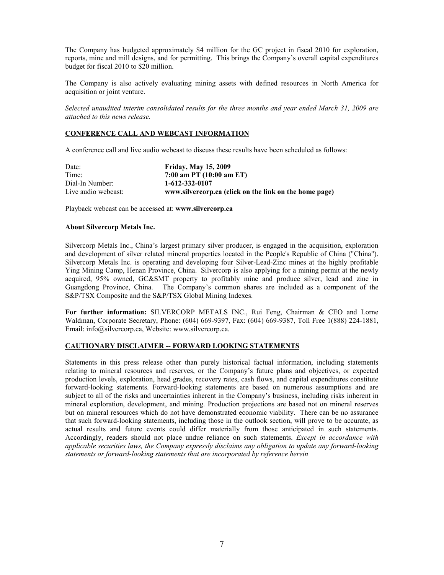The Company has budgeted approximately \$4 million for the GC project in fiscal 2010 for exploration, reports, mine and mill designs, and for permitting. This brings the Company's overall capital expenditures budget for fiscal 2010 to \$20 million.

The Company is also actively evaluating mining assets with defined resources in North America for acquisition or joint venture.

*Selected unaudited interim consolidated results for the three months and year ended March 31, 2009 are attached to this news release.* 

#### **CONFERENCE CALL AND WEBCAST INFORMATION**

A conference call and live audio webcast to discuss these results have been scheduled as follows:

| Date:               | <b>Friday, May 15, 2009</b>                            |
|---------------------|--------------------------------------------------------|
| Time:               | 7:00 am PT $(10:00 \text{ am ET})$                     |
| Dial-In Number:     | 1-612-332-0107                                         |
| Live audio webcast: | www.silvercorp.ca (click on the link on the home page) |

Playback webcast can be accessed at: **www.silvercorp.ca**

#### **About Silvercorp Metals Inc.**

Silvercorp Metals Inc., China's largest primary silver producer, is engaged in the acquisition, exploration and development of silver related mineral properties located in the People's Republic of China ("China"). Silvercorp Metals Inc. is operating and developing four Silver-Lead-Zinc mines at the highly profitable Ying Mining Camp, Henan Province, China. Silvercorp is also applying for a mining permit at the newly acquired, 95% owned, GC&SMT property to profitably mine and produce silver, lead and zinc in Guangdong Province, China. The Company's common shares are included as a component of the S&P/TSX Composite and the S&P/TSX Global Mining Indexes.

**For further information:** SILVERCORP METALS INC., Rui Feng, Chairman & CEO and Lorne Waldman, Corporate Secretary, Phone: (604) 669-9397, Fax: (604) 669-9387, Toll Free 1(888) 224-1881, Email: info@silvercorp.ca, Website: www.silvercorp.ca.

#### **CAUTIONARY DISCLAIMER -- FORWARD LOOKING STATEMENTS**

Statements in this press release other than purely historical factual information, including statements relating to mineral resources and reserves, or the Company's future plans and objectives, or expected production levels, exploration, head grades, recovery rates, cash flows, and capital expenditures constitute forward-looking statements. Forward-looking statements are based on numerous assumptions and are subject to all of the risks and uncertainties inherent in the Company's business, including risks inherent in mineral exploration, development, and mining. Production projections are based not on mineral reserves but on mineral resources which do not have demonstrated economic viability. There can be no assurance that such forward-looking statements, including those in the outlook section, will prove to be accurate, as actual results and future events could differ materially from those anticipated in such statements. Accordingly, readers should not place undue reliance on such statements. *Except in accordance with applicable securities laws, the Company expressly disclaims any obligation to update any forward-looking statements or forward-looking statements that are incorporated by reference herein*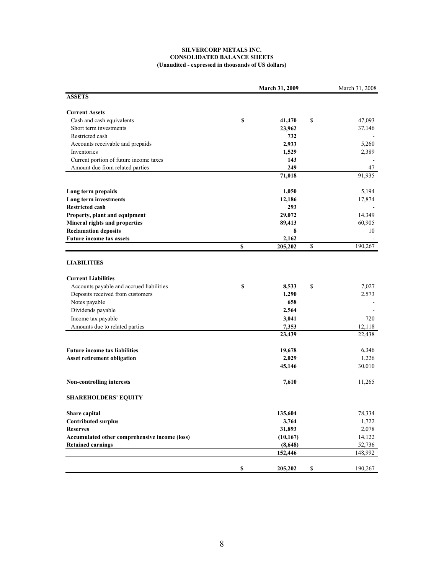#### **SILVERCORP METALS INC. CONSOLIDATED BALANCE SHEETS (Unaudited - expressed in thousands of US dollars)**

| <b>ASSETS</b><br><b>Current Assets</b><br>Cash and cash equivalents<br>\$<br>\$<br>47,093<br>41,470<br>Short term investments<br>37,146<br>23,962<br>Restricted cash<br>732<br>5,260<br>Accounts receivable and prepaids<br>2,933<br>2,389<br>Inventories<br>1,529<br>Current portion of future income taxes<br>143<br>Amount due from related parties<br>249<br>47<br>91,935<br>71,018<br>5,194<br>Long term prepaids<br>1,050<br>Long term investments<br>17,874<br>12,186<br><b>Restricted cash</b><br>293<br>14,349<br>Property, plant and equipment<br>29,072<br>Mineral rights and properties<br>60,905<br>89,413<br><b>Reclamation deposits</b><br>8<br>10<br><b>Future income tax assets</b><br>2,162<br>\$<br>$\mathbb S$<br>190,267<br>205,202<br><b>LIABILITIES</b><br><b>Current Liabilities</b><br>Accounts payable and accrued liabilities<br>\$<br>7,027<br>\$<br>8,533<br>Deposits received from customers<br>2,573<br>1,290<br>Notes payable<br>658<br>Dividends payable<br>2,564<br>Income tax payable<br>3,041<br>720<br>Amounts due to related parties<br>7,353<br>12,118<br>23,439<br>22,438<br><b>Future income tax liabilities</b><br>6,346<br>19,678<br>2,029<br>1,226<br><b>Asset retirement obligation</b><br>30,010<br>45,146<br>Non-controlling interests<br>7,610<br>11,265<br><b>SHAREHOLDERS' EQUITY</b><br>78,334<br>135,604<br>Share capital<br><b>Contributed surplus</b><br>3,764<br>1,722<br>2,078<br>31,893<br><b>Reserves</b><br>Accumulated other comprehensive income (loss)<br>(10, 167)<br>14,122<br>52,736<br><b>Retained earnings</b><br>(8,648)<br>148,992<br>152,446<br>S<br>\$<br>205,202<br>190,267 |  | March 31, 2009 | March 31, 2008 |
|-----------------------------------------------------------------------------------------------------------------------------------------------------------------------------------------------------------------------------------------------------------------------------------------------------------------------------------------------------------------------------------------------------------------------------------------------------------------------------------------------------------------------------------------------------------------------------------------------------------------------------------------------------------------------------------------------------------------------------------------------------------------------------------------------------------------------------------------------------------------------------------------------------------------------------------------------------------------------------------------------------------------------------------------------------------------------------------------------------------------------------------------------------------------------------------------------------------------------------------------------------------------------------------------------------------------------------------------------------------------------------------------------------------------------------------------------------------------------------------------------------------------------------------------------------------------------------------------------------------------------------------------------------|--|----------------|----------------|
|                                                                                                                                                                                                                                                                                                                                                                                                                                                                                                                                                                                                                                                                                                                                                                                                                                                                                                                                                                                                                                                                                                                                                                                                                                                                                                                                                                                                                                                                                                                                                                                                                                                     |  |                |                |
|                                                                                                                                                                                                                                                                                                                                                                                                                                                                                                                                                                                                                                                                                                                                                                                                                                                                                                                                                                                                                                                                                                                                                                                                                                                                                                                                                                                                                                                                                                                                                                                                                                                     |  |                |                |
|                                                                                                                                                                                                                                                                                                                                                                                                                                                                                                                                                                                                                                                                                                                                                                                                                                                                                                                                                                                                                                                                                                                                                                                                                                                                                                                                                                                                                                                                                                                                                                                                                                                     |  |                |                |
|                                                                                                                                                                                                                                                                                                                                                                                                                                                                                                                                                                                                                                                                                                                                                                                                                                                                                                                                                                                                                                                                                                                                                                                                                                                                                                                                                                                                                                                                                                                                                                                                                                                     |  |                |                |
|                                                                                                                                                                                                                                                                                                                                                                                                                                                                                                                                                                                                                                                                                                                                                                                                                                                                                                                                                                                                                                                                                                                                                                                                                                                                                                                                                                                                                                                                                                                                                                                                                                                     |  |                |                |
|                                                                                                                                                                                                                                                                                                                                                                                                                                                                                                                                                                                                                                                                                                                                                                                                                                                                                                                                                                                                                                                                                                                                                                                                                                                                                                                                                                                                                                                                                                                                                                                                                                                     |  |                |                |
|                                                                                                                                                                                                                                                                                                                                                                                                                                                                                                                                                                                                                                                                                                                                                                                                                                                                                                                                                                                                                                                                                                                                                                                                                                                                                                                                                                                                                                                                                                                                                                                                                                                     |  |                |                |
|                                                                                                                                                                                                                                                                                                                                                                                                                                                                                                                                                                                                                                                                                                                                                                                                                                                                                                                                                                                                                                                                                                                                                                                                                                                                                                                                                                                                                                                                                                                                                                                                                                                     |  |                |                |
|                                                                                                                                                                                                                                                                                                                                                                                                                                                                                                                                                                                                                                                                                                                                                                                                                                                                                                                                                                                                                                                                                                                                                                                                                                                                                                                                                                                                                                                                                                                                                                                                                                                     |  |                |                |
|                                                                                                                                                                                                                                                                                                                                                                                                                                                                                                                                                                                                                                                                                                                                                                                                                                                                                                                                                                                                                                                                                                                                                                                                                                                                                                                                                                                                                                                                                                                                                                                                                                                     |  |                |                |
|                                                                                                                                                                                                                                                                                                                                                                                                                                                                                                                                                                                                                                                                                                                                                                                                                                                                                                                                                                                                                                                                                                                                                                                                                                                                                                                                                                                                                                                                                                                                                                                                                                                     |  |                |                |
|                                                                                                                                                                                                                                                                                                                                                                                                                                                                                                                                                                                                                                                                                                                                                                                                                                                                                                                                                                                                                                                                                                                                                                                                                                                                                                                                                                                                                                                                                                                                                                                                                                                     |  |                |                |
|                                                                                                                                                                                                                                                                                                                                                                                                                                                                                                                                                                                                                                                                                                                                                                                                                                                                                                                                                                                                                                                                                                                                                                                                                                                                                                                                                                                                                                                                                                                                                                                                                                                     |  |                |                |
|                                                                                                                                                                                                                                                                                                                                                                                                                                                                                                                                                                                                                                                                                                                                                                                                                                                                                                                                                                                                                                                                                                                                                                                                                                                                                                                                                                                                                                                                                                                                                                                                                                                     |  |                |                |
|                                                                                                                                                                                                                                                                                                                                                                                                                                                                                                                                                                                                                                                                                                                                                                                                                                                                                                                                                                                                                                                                                                                                                                                                                                                                                                                                                                                                                                                                                                                                                                                                                                                     |  |                |                |
|                                                                                                                                                                                                                                                                                                                                                                                                                                                                                                                                                                                                                                                                                                                                                                                                                                                                                                                                                                                                                                                                                                                                                                                                                                                                                                                                                                                                                                                                                                                                                                                                                                                     |  |                |                |
|                                                                                                                                                                                                                                                                                                                                                                                                                                                                                                                                                                                                                                                                                                                                                                                                                                                                                                                                                                                                                                                                                                                                                                                                                                                                                                                                                                                                                                                                                                                                                                                                                                                     |  |                |                |
|                                                                                                                                                                                                                                                                                                                                                                                                                                                                                                                                                                                                                                                                                                                                                                                                                                                                                                                                                                                                                                                                                                                                                                                                                                                                                                                                                                                                                                                                                                                                                                                                                                                     |  |                |                |
|                                                                                                                                                                                                                                                                                                                                                                                                                                                                                                                                                                                                                                                                                                                                                                                                                                                                                                                                                                                                                                                                                                                                                                                                                                                                                                                                                                                                                                                                                                                                                                                                                                                     |  |                |                |
|                                                                                                                                                                                                                                                                                                                                                                                                                                                                                                                                                                                                                                                                                                                                                                                                                                                                                                                                                                                                                                                                                                                                                                                                                                                                                                                                                                                                                                                                                                                                                                                                                                                     |  |                |                |
|                                                                                                                                                                                                                                                                                                                                                                                                                                                                                                                                                                                                                                                                                                                                                                                                                                                                                                                                                                                                                                                                                                                                                                                                                                                                                                                                                                                                                                                                                                                                                                                                                                                     |  |                |                |
|                                                                                                                                                                                                                                                                                                                                                                                                                                                                                                                                                                                                                                                                                                                                                                                                                                                                                                                                                                                                                                                                                                                                                                                                                                                                                                                                                                                                                                                                                                                                                                                                                                                     |  |                |                |
|                                                                                                                                                                                                                                                                                                                                                                                                                                                                                                                                                                                                                                                                                                                                                                                                                                                                                                                                                                                                                                                                                                                                                                                                                                                                                                                                                                                                                                                                                                                                                                                                                                                     |  |                |                |
|                                                                                                                                                                                                                                                                                                                                                                                                                                                                                                                                                                                                                                                                                                                                                                                                                                                                                                                                                                                                                                                                                                                                                                                                                                                                                                                                                                                                                                                                                                                                                                                                                                                     |  |                |                |
|                                                                                                                                                                                                                                                                                                                                                                                                                                                                                                                                                                                                                                                                                                                                                                                                                                                                                                                                                                                                                                                                                                                                                                                                                                                                                                                                                                                                                                                                                                                                                                                                                                                     |  |                |                |
|                                                                                                                                                                                                                                                                                                                                                                                                                                                                                                                                                                                                                                                                                                                                                                                                                                                                                                                                                                                                                                                                                                                                                                                                                                                                                                                                                                                                                                                                                                                                                                                                                                                     |  |                |                |
|                                                                                                                                                                                                                                                                                                                                                                                                                                                                                                                                                                                                                                                                                                                                                                                                                                                                                                                                                                                                                                                                                                                                                                                                                                                                                                                                                                                                                                                                                                                                                                                                                                                     |  |                |                |
|                                                                                                                                                                                                                                                                                                                                                                                                                                                                                                                                                                                                                                                                                                                                                                                                                                                                                                                                                                                                                                                                                                                                                                                                                                                                                                                                                                                                                                                                                                                                                                                                                                                     |  |                |                |
|                                                                                                                                                                                                                                                                                                                                                                                                                                                                                                                                                                                                                                                                                                                                                                                                                                                                                                                                                                                                                                                                                                                                                                                                                                                                                                                                                                                                                                                                                                                                                                                                                                                     |  |                |                |
|                                                                                                                                                                                                                                                                                                                                                                                                                                                                                                                                                                                                                                                                                                                                                                                                                                                                                                                                                                                                                                                                                                                                                                                                                                                                                                                                                                                                                                                                                                                                                                                                                                                     |  |                |                |
|                                                                                                                                                                                                                                                                                                                                                                                                                                                                                                                                                                                                                                                                                                                                                                                                                                                                                                                                                                                                                                                                                                                                                                                                                                                                                                                                                                                                                                                                                                                                                                                                                                                     |  |                |                |
|                                                                                                                                                                                                                                                                                                                                                                                                                                                                                                                                                                                                                                                                                                                                                                                                                                                                                                                                                                                                                                                                                                                                                                                                                                                                                                                                                                                                                                                                                                                                                                                                                                                     |  |                |                |
|                                                                                                                                                                                                                                                                                                                                                                                                                                                                                                                                                                                                                                                                                                                                                                                                                                                                                                                                                                                                                                                                                                                                                                                                                                                                                                                                                                                                                                                                                                                                                                                                                                                     |  |                |                |
|                                                                                                                                                                                                                                                                                                                                                                                                                                                                                                                                                                                                                                                                                                                                                                                                                                                                                                                                                                                                                                                                                                                                                                                                                                                                                                                                                                                                                                                                                                                                                                                                                                                     |  |                |                |
|                                                                                                                                                                                                                                                                                                                                                                                                                                                                                                                                                                                                                                                                                                                                                                                                                                                                                                                                                                                                                                                                                                                                                                                                                                                                                                                                                                                                                                                                                                                                                                                                                                                     |  |                |                |
|                                                                                                                                                                                                                                                                                                                                                                                                                                                                                                                                                                                                                                                                                                                                                                                                                                                                                                                                                                                                                                                                                                                                                                                                                                                                                                                                                                                                                                                                                                                                                                                                                                                     |  |                |                |
|                                                                                                                                                                                                                                                                                                                                                                                                                                                                                                                                                                                                                                                                                                                                                                                                                                                                                                                                                                                                                                                                                                                                                                                                                                                                                                                                                                                                                                                                                                                                                                                                                                                     |  |                |                |
|                                                                                                                                                                                                                                                                                                                                                                                                                                                                                                                                                                                                                                                                                                                                                                                                                                                                                                                                                                                                                                                                                                                                                                                                                                                                                                                                                                                                                                                                                                                                                                                                                                                     |  |                |                |
|                                                                                                                                                                                                                                                                                                                                                                                                                                                                                                                                                                                                                                                                                                                                                                                                                                                                                                                                                                                                                                                                                                                                                                                                                                                                                                                                                                                                                                                                                                                                                                                                                                                     |  |                |                |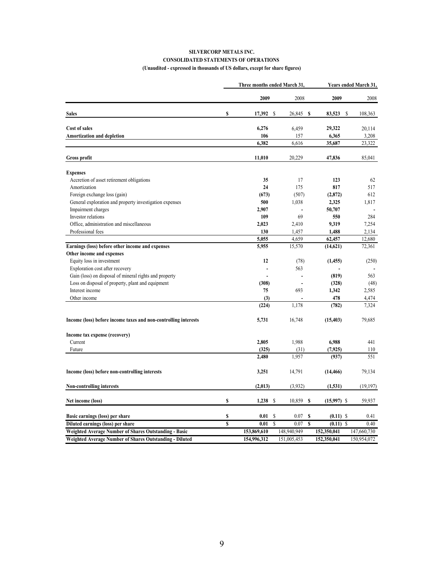#### **SILVERCORP METALS INC. CONSOLIDATED STATEMENTS OF OPERATIONS (Unaudited - expressed in thousands of US dollars, except for share figures)**

|                                                                 |    | Three months ended March 31, |    |             | Years ended March 31, |               |             |
|-----------------------------------------------------------------|----|------------------------------|----|-------------|-----------------------|---------------|-------------|
|                                                                 |    | 2009                         |    | 2008        |                       | 2009          | 2008        |
| <b>Sales</b>                                                    | \$ | 17,392                       | -S | 26,845 \$   |                       | 83,523<br>S   | 108,363     |
| Cost of sales                                                   |    | 6,276                        |    | 6,459       |                       | 29,322        | 20,114      |
| Amortization and depletion                                      |    | 106                          |    | 157         |                       | 6,365         | 3,208       |
|                                                                 |    | 6,382                        |    | 6,616       |                       | 35,687        | 23,322      |
| <b>Gross profit</b>                                             |    | 11,010                       |    | 20,229      |                       | 47,836        | 85,041      |
| <b>Expenses</b>                                                 |    |                              |    |             |                       |               |             |
| Accretion of asset retirement obligations                       |    | 35                           |    | 17          |                       | 123           | 62          |
| Amortization                                                    |    | 24                           |    | 175         |                       | 817           | 517         |
| Foreign exchange loss (gain)                                    |    | (673)                        |    | (507)       |                       | (2,872)       | 612         |
| General exploration and property investigation expenses         |    | 500                          |    | 1,038       |                       | 2,325         | 1,817       |
| Impairment charges                                              |    | 2,907                        |    |             |                       | 50,707        |             |
| Investor relations                                              |    | 109                          |    | 69          |                       | 550           | 284         |
| Office, administration and miscellaneous                        |    | 2,023                        |    | 2,410       |                       | 9,319         | 7,254       |
| Professional fees                                               |    | 130                          |    | 1,457       |                       | 1,488         | 2,134       |
|                                                                 |    | 5,055                        |    | 4,659       |                       | 62,457        | 12,680      |
| Earnings (loss) before other income and expenses                |    | 5,955                        |    | 15,570      |                       | (14,621)      | 72,361      |
| Other income and expenses                                       |    |                              |    |             |                       |               |             |
|                                                                 |    | 12                           |    |             |                       |               |             |
| Equity loss in investment                                       |    |                              |    | (78)        |                       | (1, 455)      | (250)       |
| Exploration cost after recovery                                 |    |                              |    | 563         |                       |               |             |
| Gain (loss) on disposal of mineral rights and property          |    |                              |    | ÷,          |                       | (819)         | 563         |
| Loss on disposal of property, plant and equipment               |    | (308)                        |    |             |                       | (328)         | (48)        |
| Interest income                                                 |    | 75                           |    | 693         |                       | 1,342         | 2,585       |
| Other income                                                    |    | (3)                          |    |             |                       | 478           | 4,474       |
|                                                                 |    | (224)                        |    | 1,178       |                       | (782)         | 7,324       |
| Income (loss) before income taxes and non-controlling interests |    | 5,731                        |    | 16,748      |                       | (15, 403)     | 79,685      |
| Income tax expense (recovery)                                   |    |                              |    |             |                       |               |             |
| Current                                                         |    | 2,805                        |    | 1,988       |                       | 6,988         | 441         |
| Future                                                          |    | (325)                        |    | (31)        |                       | (7, 925)      | 110         |
|                                                                 |    | 2,480                        |    | 1,957       |                       | (937)         | 551         |
| Income (loss) before non-controlling interests                  |    | 3,251                        |    | 14,791      |                       | (14, 466)     | 79,134      |
| Non-controlling interests                                       |    | (2,013)                      |    | (3,932)     |                       | (1, 531)      | (19, 197)   |
| Net income (loss)                                               | \$ | $1,238$ \$                   |    | 10,859      | S                     | $(15,997)$ \$ | 59,937      |
| Basic earnings (loss) per share                                 | \$ | 0.01                         | S  | 0.07        | S                     | $(0.11)$ \$   | 0.41        |
| Diluted earnings (loss) per share                               | S  | 0.01                         | S  | 0.07        | S                     | $(0.11)$ \$   | 0.40        |
| Weighted Average Number of Shares Outstanding - Basic           |    | 153,869,610                  |    | 148.940.949 |                       | 152,350,041   | 147,660,730 |
| Weighted Average Number of Shares Outstanding - Diluted         |    | 154,996,312                  |    | 151,005,453 |                       | 152,350,041   | 150,954,072 |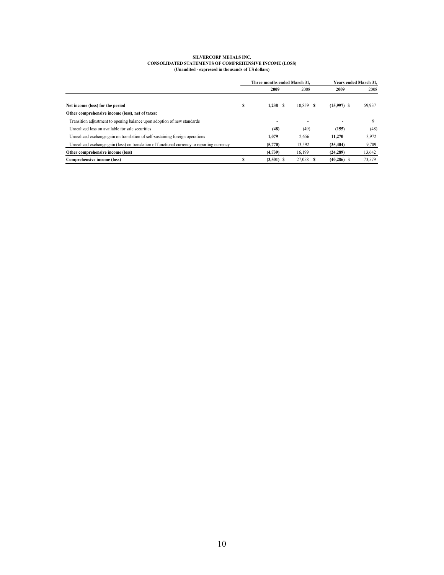#### **SILVERCORP METALS INC. CONSOLIDATED STATEMENTS OF COMPREHENSIVE INCOME (LOSS) (Unaudited - expressed in thousands of US dollars)**

|                                                                                             | Three months ended March 31. |              |          | Years ended March 31. |        |  |
|---------------------------------------------------------------------------------------------|------------------------------|--------------|----------|-----------------------|--------|--|
|                                                                                             |                              | 2009         | 2008     | 2009                  | 2008   |  |
| Net income (loss) for the period                                                            | \$                           | 1,238        | 10.859 S | $(15,997)$ \$         | 59,937 |  |
| Other comprehensive income (loss), net of taxes:                                            |                              |              |          |                       |        |  |
| Transition adjustment to opening balance upon adoption of new standards                     |                              | ۰            |          |                       | 9      |  |
| Unrealized loss on available for sale securities                                            |                              | (48)         | (49)     | (155)                 | (48)   |  |
| Unrealized exchange gain on translation of self-sustaining foreign operations               |                              | 1,079        | 2,656    | 11.270                | 3,972  |  |
| Unrealized exchange gain (loss) on translation of functional currency to reporting currency |                              | (5,770)      | 13,592   | (35, 404)             | 9,709  |  |
| Other comprehensive income (loss)                                                           |                              | (4,739)      | 16.199   | (24, 289)             | 13,642 |  |
| Comprehensive income (loss)                                                                 |                              | $(3,501)$ \$ | 27,058   | $(40, 286)$ \$        | 73,579 |  |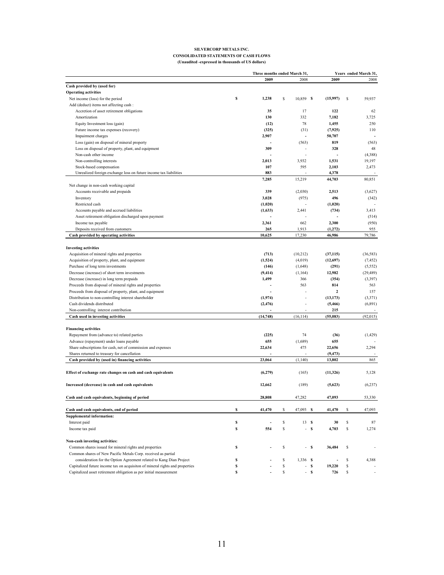#### **SILVERCORP METALS INC. CONSOLIDATED STATEMENTS OF CASH FLOWS (Unaudited -expressed in thousands of US dollars)**

|                                                                              |             | Three months ended March 31. |    | Years ended March 31. |          |                 |    |           |
|------------------------------------------------------------------------------|-------------|------------------------------|----|-----------------------|----------|-----------------|----|-----------|
|                                                                              |             | 2009                         |    | 2008                  |          | 2009            |    | 2008      |
| Cash provided by (used for)                                                  |             |                              |    |                       |          |                 |    |           |
| <b>Operating activities</b>                                                  |             |                              |    |                       |          |                 |    |           |
| Net income (loss) for the period                                             | s           | 1,238                        | \$ | 10,859 \$             |          | (15,997)        | \$ | 59,937    |
| Add (deduct) items not affecting cash :                                      |             |                              |    |                       |          |                 |    |           |
| Accretion of asset retirement obligations                                    |             | 35                           |    | 17                    |          | 122             |    | 62        |
| Amortization                                                                 |             | 130                          |    | 332                   |          | 7,182           |    | 3,725     |
| Equity Investment loss (gain)                                                |             | (12)                         |    | 78                    |          | 1,455           |    | 250       |
| Future income tax expenses (recovery)                                        |             | (325)                        |    | (31)                  |          | (7, 925)        |    | 110       |
| Impairment charges                                                           |             | 2,907                        |    | ÷,                    |          | 50,707          |    |           |
| Loss (gain) on disposal of mineral property                                  |             |                              |    | (563)                 |          | 819             |    | (563)     |
| Loss on disposal of property, plant, and equipment                           |             | 309                          |    |                       |          | 328             |    | 48        |
| Non-cash other income                                                        |             |                              |    |                       |          |                 |    | (4,388)   |
| Non-controlling interests                                                    |             | 2,013                        |    | 3,932                 |          | 1,531           |    | 19,197    |
| Stock-based compensation                                                     |             | 107                          |    | 595                   |          | 2,103           |    | 2,473     |
| Unrealized foreign exchange loss on future income tax liabilities            |             | 883                          |    |                       |          | 4,378           |    |           |
|                                                                              |             | 7,285                        |    | 15,219                |          | 44,703          |    | 80,851    |
|                                                                              |             |                              |    |                       |          |                 |    |           |
| Net change in non-cash working capital                                       |             |                              |    |                       |          |                 |    |           |
| Accounts receivable and prepaids                                             |             | 339                          |    | (2,030)               |          | 2,513           |    | (3,627)   |
| Inventory                                                                    |             | 3,028                        |    | (975)                 |          | 496             |    | (342)     |
| Restricted cash                                                              |             | (1,020)                      |    | ÷,                    |          | (1,020)         |    |           |
| Accounts payable and accrued liabilities                                     |             | (1,633)                      |    | 2,441                 |          | (734)           |    | 3,413     |
| Asset retirement obligation discharged upon payment                          |             |                              |    |                       |          |                 |    | (514)     |
| Income tax payable                                                           |             | 2,361                        |    | 662                   |          | 2,300           |    | (950)     |
| Deposits received from customers                                             |             | 265                          |    | 1,913                 |          | (1, 272)        |    | 955       |
| Cash provided by operating activities                                        |             | 10,625                       |    | 17,230                |          | 46,986          |    | 79,786    |
|                                                                              |             |                              |    |                       |          |                 |    |           |
| <b>Investing activities</b>                                                  |             |                              |    |                       |          |                 |    |           |
| Acquisition of mineral rights and properties                                 |             | (713)                        |    | (10,212)              |          | (37, 115)       |    | (36, 583) |
| Acquisition of property, plant, and equipment                                |             | (1,524)                      |    | (4,019)               |          | (12,697)        |    | (7, 452)  |
| Purchase of long term investments                                            |             | (146)                        |    | (1,648)               |          | (291)           |    | (5, 552)  |
| Decrease (increase) of short term investments                                |             | (9, 414)                     |    | (1,164)               |          | 12,982          |    | (29, 489) |
| Decrease (increase) in long term prepaids                                    |             | 1,499                        |    | 366                   |          | (354)           |    | (3, 397)  |
| Proceeds from disposal of mineral rights and properties                      |             |                              |    | 563                   |          | 814             |    | 563       |
| Proceeds from disposal of property, plant, and equipment                     |             |                              |    |                       |          | $\mathbf{2}$    |    | 157       |
| Distribution to non-controlling interest shareholder                         |             | (1,974)                      |    | ä,                    |          | (13, 173)       |    | (3,371)   |
| Cash dividends distributed                                                   |             |                              |    | L,                    |          |                 |    | (6, 891)  |
| Non-controlling interest contribution                                        |             | (2, 476)                     |    |                       |          | (5, 466)<br>215 |    |           |
| Cash used in investing activities                                            |             | (14, 748)                    |    | (16, 114)             |          | (55, 083)       |    | (92, 015) |
|                                                                              |             |                              |    |                       |          |                 |    |           |
|                                                                              |             |                              |    |                       |          |                 |    |           |
| <b>Financing activities</b>                                                  |             |                              |    |                       |          |                 |    |           |
| Repayment from (advance to) related parties                                  |             | (225)                        |    | 74                    |          | (36)            |    | (1, 429)  |
| Advance (repayment) under loans payable                                      |             | 655                          |    | (1,689)               |          | 655             |    |           |
| Share subscriptions for cash, net of commission and expenses                 |             | 22,634                       |    | 475                   |          | 22,656          |    | 2,294     |
| Shares returned to treasury for cancellation                                 |             |                              |    |                       |          | (9, 473)        |    |           |
| Cash provided by (used in) financing activities                              |             | 23,064                       |    | (1, 140)              |          | 13,802          |    | 865       |
|                                                                              |             |                              |    |                       |          |                 |    |           |
| Effect of exchange rate changes on cash and cash equivalents                 |             | (6,279)                      |    | (165)                 |          | (11,326)        |    | 5,128     |
|                                                                              |             |                              |    |                       |          |                 |    |           |
| Increased (decrease) in cash and cash equivalents                            |             | 12,662                       |    | (189)                 |          | (5,623)         |    | (6, 237)  |
|                                                                              |             |                              |    |                       |          |                 |    |           |
| Cash and cash equivalents, beginning of period                               |             | 28,808                       |    | 47,282                |          | 47,093          |    | 53,330    |
| Cash and cash equivalents, end of period                                     | s           | 41,470                       | \$ | 47,093                | <b>S</b> | 41,470          | \$ | 47,093    |
| <b>Supplemental information:</b>                                             |             |                              |    |                       |          |                 |    |           |
| Interest paid                                                                | s           |                              | \$ | 13S                   |          | 30              | \$ | 87        |
| Income tax paid                                                              | $\mathbb S$ | 554                          | \$ | - \$                  |          | 4,703           | \$ | 1,274     |
|                                                                              |             |                              |    |                       |          |                 |    |           |
| Non-cash investing activities:                                               |             |                              |    |                       |          |                 |    |           |
| Common shares issued for mineral rights and properties                       | s           |                              | \$ |                       | - \$     | 36,484          | \$ |           |
| Common shares of New Pacific Metals Corp. received as partial                |             |                              |    |                       |          |                 |    |           |
| consideration for the Option Agreement related to Kang Dian Project          | s           |                              | \$ | $1,336$ \$            |          |                 | \$ | 4,388     |
| Capitalized future income tax on acquisiton of mineral rights and properties | s           |                              | \$ | L,                    | <b>S</b> | 19,220          | \$ |           |
| Capitalized asset retirement obligation as per initial measurement           | s           |                              | \$ |                       | -S       | 726             | \$ |           |